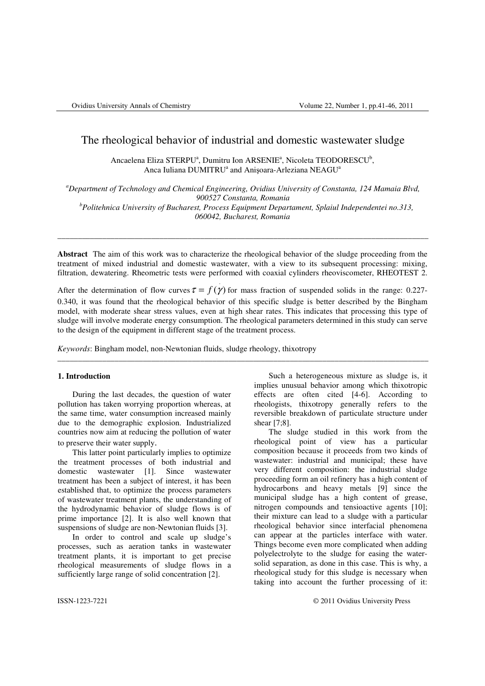# The rheological behavior of industrial and domestic wastewater sludge

Ancaelena Eliza STERPU<sup>a</sup>, Dumitru Ion ARSENIE<sup>a</sup>, Nicoleta TEODORESCU<sup>b</sup>, Anca Iuliana DUMITRU<sup>a</sup> and Anișoara-Arleziana NEAGU<sup>a</sup>

*<sup>a</sup>Department of Technology and Chemical Engineering, Ovidius University of Constanta, 124 Mamaia Blvd, 900527 Constanta, Romania* 

*<sup>b</sup>Politehnica University of Bucharest, Process Equipment Departament, Splaiul Independentei no.313, 060042, Bucharest, Romania*

\_\_\_\_\_\_\_\_\_\_\_\_\_\_\_\_\_\_\_\_\_\_\_\_\_\_\_\_\_\_\_\_\_\_\_\_\_\_\_\_\_\_\_\_\_\_\_\_\_\_\_\_\_\_\_\_\_\_\_\_\_\_\_\_\_\_\_\_\_\_\_\_\_\_\_\_\_\_\_\_\_\_\_\_\_\_\_\_\_\_\_

**Abstract** The aim of this work was to characterize the rheological behavior of the sludge proceeding from the treatment of mixed industrial and domestic wastewater, with a view to its subsequent processing: mixing, filtration, dewatering. Rheometric tests were performed with coaxial cylinders rheoviscometer, RHEOTEST 2.

.

After the determination of flow curves  $\tau = f(\gamma)$  for mass fraction of suspended solids in the range: 0.227-0.340, it was found that the rheological behavior of this specific sludge is better described by the Bingham model, with moderate shear stress values, even at high shear rates. This indicates that processing this type of sludge will involve moderate energy consumption. The rheological parameters determined in this study can serve to the design of the equipment in different stage of the treatment process.

\_\_\_\_\_\_\_\_\_\_\_\_\_\_\_\_\_\_\_\_\_\_\_\_\_\_\_\_\_\_\_\_\_\_\_\_\_\_\_\_\_\_\_\_\_\_\_\_\_\_\_\_\_\_\_\_\_\_\_\_\_\_\_\_\_\_\_\_\_\_\_\_\_\_\_\_\_\_\_\_\_\_\_\_\_\_\_\_\_\_\_

*Keywords*: Bingham model, non-Newtonian fluids, sludge rheology, thixotropy

## **1. Introduction**

During the last decades, the question of water pollution has taken worrying proportion whereas, at the same time, water consumption increased mainly due to the demographic explosion. Industrialized countries now aim at reducing the pollution of water to preserve their water supply.

This latter point particularly implies to optimize the treatment processes of both industrial and domestic wastewater [1]. Since wastewater treatment has been a subject of interest, it has been established that, to optimize the process parameters of wastewater treatment plants, the understanding of the hydrodynamic behavior of sludge flows is of prime importance [2]. It is also well known that suspensions of sludge are non-Newtonian fluids [3].

In order to control and scale up sludge's processes, such as aeration tanks in wastewater treatment plants, it is important to get precise rheological measurements of sludge flows in a sufficiently large range of solid concentration [2].

Such a heterogeneous mixture as sludge is, it implies unusual behavior among which thixotropic effects are often cited [4-6]. According to rheologists, thixotropy generally refers to the reversible breakdown of particulate structure under shear [7;8].

The sludge studied in this work from the rheological point of view has a particular composition because it proceeds from two kinds of wastewater: industrial and municipal; these have very different composition: the industrial sludge proceeding form an oil refinery has a high content of hydrocarbons and heavy metals [9] since the municipal sludge has a high content of grease, nitrogen compounds and tensioactive agents [10]; their mixture can lead to a sludge with a particular rheological behavior since interfacial phenomena can appear at the particles interface with water. Things become even more complicated when adding polyelectrolyte to the sludge for easing the watersolid separation, as done in this case. This is why, a rheological study for this sludge is necessary when taking into account the further processing of it:

ISSN-1223-7221 © 2011 Ovidius University Press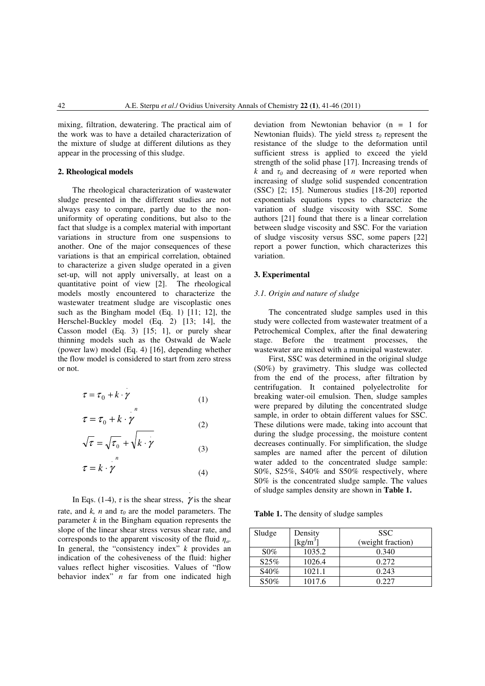mixing, filtration, dewatering. The practical aim of the work was to have a detailed characterization of the mixture of sludge at different dilutions as they appear in the processing of this sludge.

## **2. Rheological models**

The rheological characterization of wastewater sludge presented in the different studies are not always easy to compare, partly due to the nonuniformity of operating conditions, but also to the fact that sludge is a complex material with important variations in structure from one suspensions to another. One of the major consequences of these variations is that an empirical correlation, obtained to characterize a given sludge operated in a given set-up, will not apply universally, at least on a quantitative point of view [2]. The rheological models mostly encountered to characterize the wastewater treatment sludge are viscoplastic ones such as the Bingham model (Eq. 1) [11; 12], the Herschel-Buckley model (Eq. 2) [13; 14], the Casson model (Eq. 3) [15; 1], or purely shear thinning models such as the Ostwald de Waele (power law) model (Eq. 4) [16], depending whether the flow model is considered to start from zero stress or not.

$$
\tau = \tau_0 + k \cdot \gamma \tag{1}
$$

$$
\tau = \tau_0 + k \cdot \gamma \tag{2}
$$

$$
\sqrt{\tau} = \sqrt{\tau_0} + \sqrt{k} \cdot \gamma
$$
 (3)

$$
\tau = k \cdot \gamma \tag{4}
$$

.

In Eqs. (1-4),  $\tau$  is the shear stress,  $\gamma$  is the shear rate, and  $k$ , *n* and  $\tau_0$  are the model parameters. The parameter *k* in the Bingham equation represents the slope of the linear shear stress versus shear rate, and corresponds to the apparent viscosity of the fluid  $\eta_a$ . In general, the "consistency index" *k* provides an indication of the cohesiveness of the fluid: higher values reflect higher viscosities. Values of "flow behavior index" *n* far from one indicated high

deviation from Newtonian behavior (n = 1 for Newtonian fluids). The yield stress  $\tau_0$  represent the resistance of the sludge to the deformation until sufficient stress is applied to exceed the yield strength of the solid phase [17]. Increasing trends of *k* and  $\tau_0$  and decreasing of *n* were reported when increasing of sludge solid suspended concentration (SSC) [2; 15]. Numerous studies [18-20] reported exponentials equations types to characterize the variation of sludge viscosity with SSC. Some authors [21] found that there is a linear correlation between sludge viscosity and SSC. For the variation of sludge viscosity versus SSC, some papers [22] report a power function, which characterizes this variation.

## **3. Experimental**

## *3.1. Origin and nature of sludge*

The concentrated sludge samples used in this study were collected from wastewater treatment of a Petrochemical Complex, after the final dewatering stage. Before the treatment processes, the wastewater are mixed with a municipal wastewater.

First, SSC was determined in the original sludge (S0%) by gravimetry. This sludge was collected from the end of the process, after filtration by centrifugation. It contained polyelectrolite for breaking water-oil emulsion. Then, sludge samples were prepared by diluting the concentrated sludge sample, in order to obtain different values for SSC. These dilutions were made, taking into account that during the sludge processing, the moisture content decreases continually. For simplification, the sludge samples are named after the percent of dilution water added to the concentrated sludge sample: S0%, S25%, S40% and S50% respectively, where S0% is the concentrated sludge sample. The values of sludge samples density are shown in **Table 1.**

Table 1. The density of sludge samples

| Sludge  | Density      | <b>SSC</b>        |  |  |
|---------|--------------|-------------------|--|--|
|         | [ $kg/m^3$ ] | (weight fraction) |  |  |
| $S0\%$  | 1035.2       | 0.340             |  |  |
| S25%    | 1026.4       | 0.272             |  |  |
| S40%    | 1021.1       | 0.243             |  |  |
| $$50\%$ | 1017.6       |                   |  |  |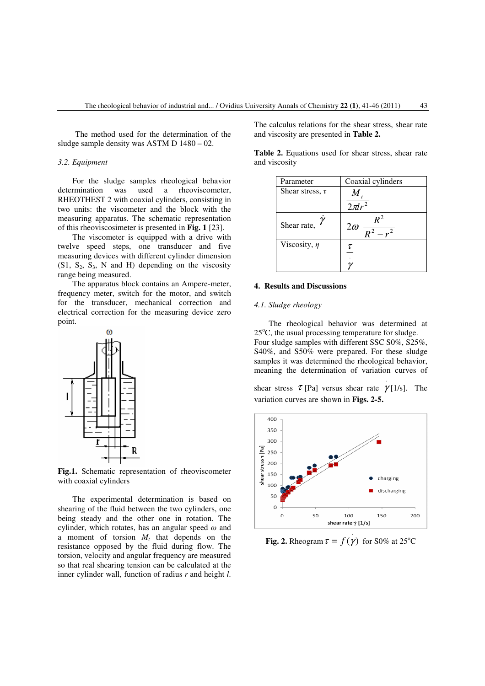The method used for the determination of the sludge sample density was ASTM D 1480 – 02.

#### *3.2. Equipment*

For the sludge samples rheological behavior determination was used a rheoviscometer, RHEOTHEST 2 with coaxial cylinders, consisting in two units: the viscometer and the block with the measuring apparatus. The schematic representation of this rheoviscosimeter is presented in **Fig. 1** [23].

The viscometer is equipped with a drive with twelve speed steps, one transducer and five measuring devices with different cylinder dimension  $(S1, S_2, S_3, N$  and H) depending on the viscosity range being measured.

The apparatus block contains an Ampere-meter, frequency meter, switch for the motor, and switch for the transducer, mechanical correction and electrical correction for the measuring device zero point.



**Fig.1.** Schematic representation of rheoviscometer with coaxial cylinders

The experimental determination is based on shearing of the fluid between the two cylinders, one being steady and the other one in rotation. The cylinder, which rotates, has an angular speed  $\omega$  and a moment of torsion  $M_t$  that depends on the resistance opposed by the fluid during flow. The torsion, velocity and angular frequency are measured so that real shearing tension can be calculated at the inner cylinder wall, function of radius *r* and height *l*.

The calculus relations for the shear stress, shear rate and viscosity are presented in **Table 2.**

**Table 2.** Equations used for shear stress, shear rate and viscosity

| Parameter            | Coaxial cylinders |  |  |
|----------------------|-------------------|--|--|
| Shear stress, $\tau$ | $2\pi l$          |  |  |
| Shear rate,          | $2\omega$         |  |  |
| Viscosity, $\eta$    | τ                 |  |  |

#### **4. Results and Discussions**

#### *4.1. Sludge rheology*

The rheological behavior was determined at  $25^{\circ}$ C, the usual processing temperature for sludge. Four sludge samples with different SSC S0%, S25%, S40%, and S50% were prepared. For these sludge samples it was determined the rheological behavior, meaning the determination of variation curves of

shear stress  $\tau$  [Pa] versus shear rate  $\gamma$  [1/s]. The variation curves are shown in **Figs. 2-5.**

.



**Fig. 2.** Rheogram  $\tau = f(\gamma)$  for S0% at 25<sup>o</sup>C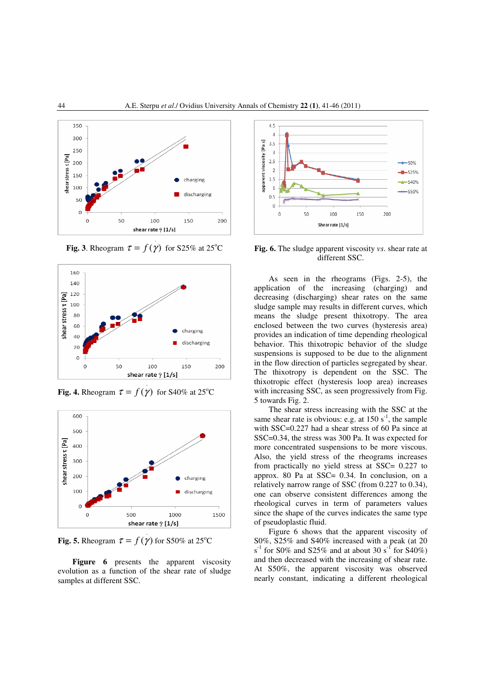

**Fig. 3**. Rheogram  $\tau = f(\gamma)$  for S25% at 25<sup>o</sup>C



**Fig. 4.** Rheogram  $\tau = f(\gamma)$  for S40% at 25<sup>o</sup>C



**Fig. 5.** Rheogram  $\tau = f(\gamma)$  for S50% at 25<sup>o</sup>C

Figure 6 presents the apparent viscosity evolution as a function of the shear rate of sludge samples at different SSC.



**Fig. 6.** The sludge apparent viscosity *vs*. shear rate at different SSC.

As seen in the rheograms (Figs. 2-5), the application of the increasing (charging) and decreasing (discharging) shear rates on the same sludge sample may results in different curves, which means the sludge present thixotropy. The area enclosed between the two curves (hysteresis area) provides an indication of time depending rheological behavior. This thixotropic behavior of the sludge suspensions is supposed to be due to the alignment in the flow direction of particles segregated by shear. The thixotropy is dependent on the SSC. The thixotropic effect (hysteresis loop area) increases with increasing SSC, as seen progressively from Fig. 5 towards Fig. 2.

The shear stress increasing with the SSC at the same shear rate is obvious: e.g. at  $150 s<sup>-1</sup>$ , the sample with SSC=0.227 had a shear stress of 60 Pa since at SSC=0.34, the stress was 300 Pa. It was expected for more concentrated suspensions to be more viscous. Also, the yield stress of the rheograms increases from practically no yield stress at SSC= 0.227 to approx. 80 Pa at SSC= 0.34. In conclusion, on a relatively narrow range of SSC (from 0.227 to 0.34), one can observe consistent differences among the rheological curves in term of parameters values since the shape of the curves indicates the same type of pseudoplastic fluid.

Figure 6 shows that the apparent viscosity of S0%, S25% and S40% increased with a peak (at 20  $s<sup>-1</sup>$  for S0% and S25% and at about 30  $s<sup>-1</sup>$  for S40%) and then decreased with the increasing of shear rate. At S50%, the apparent viscosity was observed nearly constant, indicating a different rheological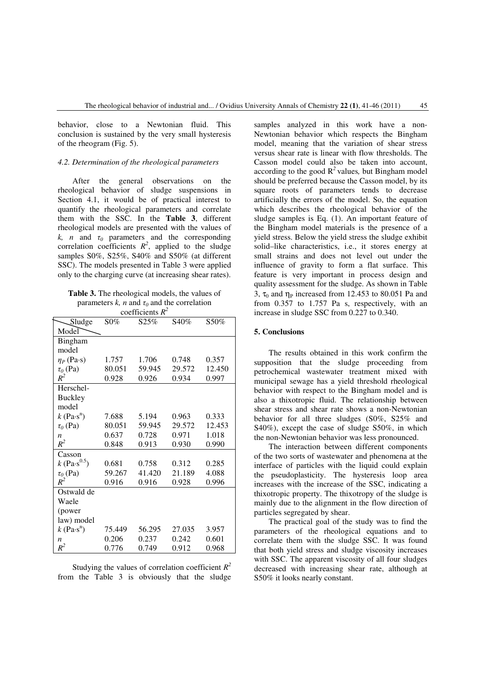behavior, close to a Newtonian fluid. This conclusion is sustained by the very small hysteresis of the rheogram (Fig. 5).

# *4.2. Determination of the rheological parameters*

After the general observations on the rheological behavior of sludge suspensions in Section 4.1, it would be of practical interest to quantify the rheological parameters and correlate them with the SSC. In the **Table 3**, different rheological models are presented with the values of *k, n* and  $\tau_0$  parameters and the corresponding correlation coefficients  $R^2$ , applied to the sludge samples S0%, S25%, S40% and S50% (at different SSC). The models presented in Table 3 were applied only to the charging curve (at increasing shear rates).

| <b>Table 3.</b> The rheological models, the values of |
|-------------------------------------------------------|
| parameters k, n and $\tau_0$ and the correlation      |
| coefficients $R^2$                                    |

| Sludge                           | $S0\%$ | S25%   | S40%   | S50%   |
|----------------------------------|--------|--------|--------|--------|
| Model                            |        |        |        |        |
| Bingham                          |        |        |        |        |
| model                            |        |        |        |        |
| $\eta_P$ (Pa·s)                  | 1.757  | 1.706  | 0.748  | 0.357  |
| $\tau_0$ (Pa)                    | 80.051 | 59.945 | 29.572 | 12.450 |
| $R^2$                            | 0.928  | 0.926  | 0.934  | 0.997  |
| Herschel-                        |        |        |        |        |
| <b>Buckley</b>                   |        |        |        |        |
| model                            |        |        |        |        |
| $k$ (Pa $\cdot$ s <sup>n</sup> ) | 7.688  | 5.194  | 0.963  | 0.333  |
| $\tau$ <sub>0</sub> (Pa)         | 80.051 | 59.945 | 29.572 | 12.453 |
| n                                | 0.637  | 0.728  | 0.971  | 1.018  |
| $R^2$                            | 0.848  | 0.913  | 0.930  | 0.990  |
| Casson                           |        |        |        |        |
| $k$ (Pa·s <sup>0.5</sup> )       | 0.681  | 0.758  | 0.312  | 0.285  |
| $\tau_0$ (Pa)                    | 59.267 | 41.420 | 21.189 | 4.088  |
| $R^2$                            | 0.916  | 0.916  | 0.928  | 0.996  |
| Ostwald de                       |        |        |        |        |
| Waele                            |        |        |        |        |
| (power                           |        |        |        |        |
| law) model                       |        |        |        |        |
| $k$ (Pa $\cdot$ s <sup>n</sup> ) | 75.449 | 56.295 | 27.035 | 3.957  |
| $\boldsymbol{n}$                 | 0.206  | 0.237  | 0.242  | 0.601  |
| $R^2$                            | 0.776  | 0.749  | 0.912  | 0.968  |

Studying the values of correlation coefficient *R 2* from the Table 3 is obviously that the sludge samples analyzed in this work have a non-Newtonian behavior which respects the Bingham model, meaning that the variation of shear stress versus shear rate is linear with flow thresholds. The Casson model could also be taken into account, according to the good  $R^2$  values, but Bingham model should be preferred because the Casson model, by its square roots of parameters tends to decrease artificially the errors of the model. So, the equation which describes the rheological behavior of the sludge samples is Eq. (1). An important feature of the Bingham model materials is the presence of a yield stress. Below the yield stress the sludge exhibit solid–like characteristics, i.e., it stores energy at small strains and does not level out under the influence of gravity to form a flat surface. This feature is very important in process design and quality assessment for the sludge. As shown in Table 3,  $\tau_0$  and  $\eta_P$  increased from 12.453 to 80.051 Pa and from 0.357 to 1.757 Pa s, respectively, with an increase in sludge SSC from 0.227 to 0.340.

### **5. Conclusions**

The results obtained in this work confirm the supposition that the sludge proceeding from petrochemical wastewater treatment mixed with municipal sewage has a yield threshold rheological behavior with respect to the Bingham model and is also a thixotropic fluid. The relationship between shear stress and shear rate shows a non-Newtonian behavior for all three sludges (S0%, S25% and S40%), except the case of sludge S50%, in which the non-Newtonian behavior was less pronounced.

The interaction between different components of the two sorts of wastewater and phenomena at the interface of particles with the liquid could explain the pseudoplasticity. The hysteresis loop area increases with the increase of the SSC, indicating a thixotropic property. The thixotropy of the sludge is mainly due to the alignment in the flow direction of particles segregated by shear.

The practical goal of the study was to find the parameters of the rheological equations and to correlate them with the sludge SSC. It was found that both yield stress and sludge viscosity increases with SSC. The apparent viscosity of all four sludges decreased with increasing shear rate, although at S50% it looks nearly constant.